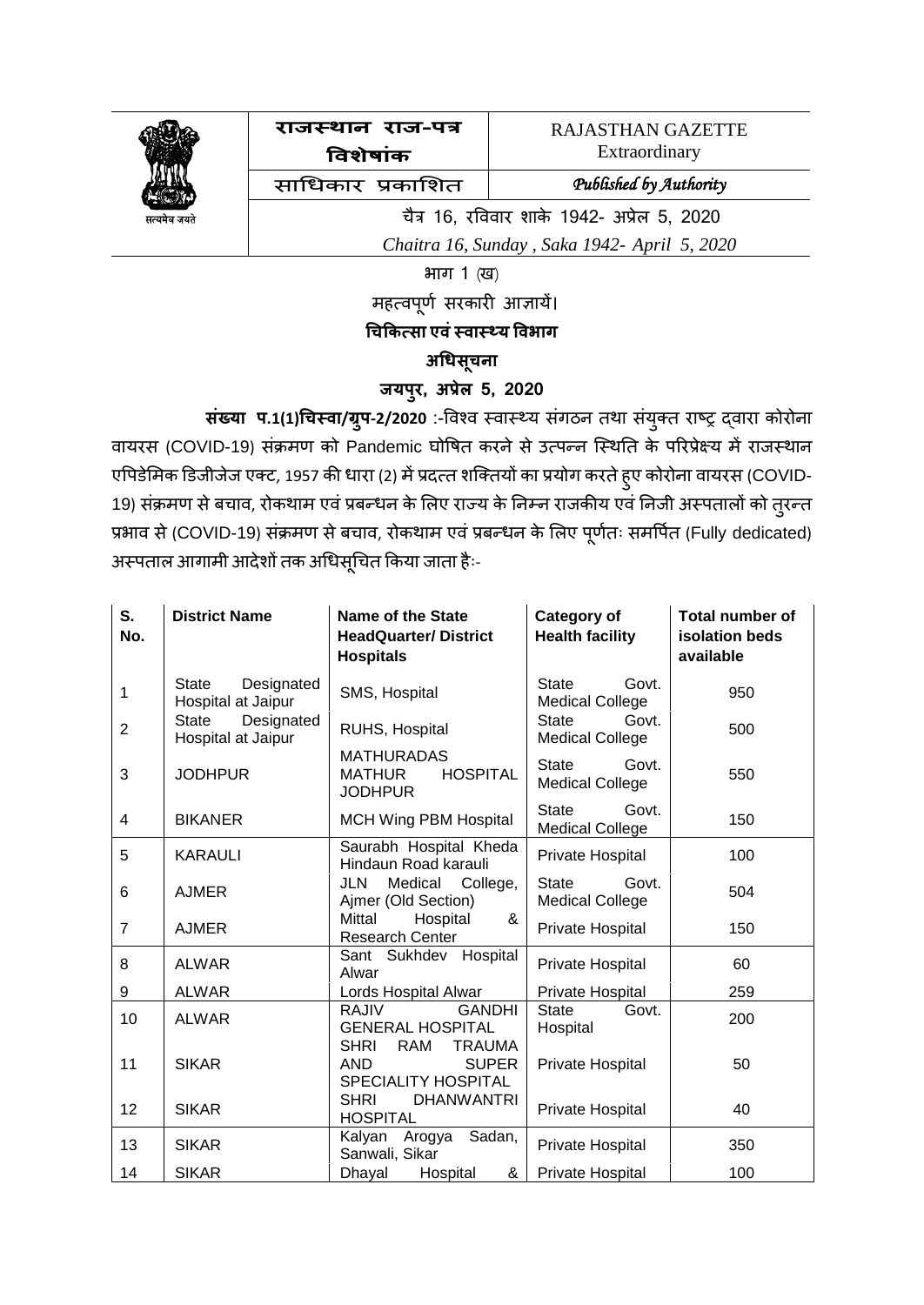

**राजस्थान रराज-पत्र विशेषाांक**

RAJASTHAN GAZETTE Extraordinary

साधिकार प्रकाशित *Published by Authority* 

चैत्र 16, रविवार शाके 1942- अप्रेल 5, 2020

 *Chaitra 16, Sunday , Saka 1942- April 5, 2020*

भाग 1 (ख)

महत्वपूर्ण सरकारी आज्ञायें।

## **चिककत्सा एिांस्िास््य विभाग**

## **अचिसिू न रा**

## **जयपरु, अप्रेल 5, 2020**

**सांख्या प.1(1)चिस्िा/ग्रपु -2/2020** :-विश्ि स्िास््य संगठन तथा सयं क्ुत राष्ट्र द्िारा कोरोना वायरस (COVID-19) संक्रमण को Pandemic घोषित करने से उत्पन्न स्थिति के परिप्रेक्ष्य में राजस्थान एपिडेमिक डिजीजेज एक्ट, 1957 की धारा (2) में प्रदत्त शक्तियों का प्रयोग करते ह्ए कोरोना वायरस (COVID-19) संक्रमण से बचाव, रोकथाम एवं प्रबन्धन के लिए राज्य के निम्न राजकीय एवं निजी अस्पतालों को तुरन्त प्रभाव से (COVID-19) संक्रमण से बचाव, रोकथाम एवं प्रबन्धन के लिए पूर्णतः समर्पित (Fully dedicated) अस्पताल आगामी आदेशों तक अधिसूचित किया जाता हैः-

| S.<br>No.      | <b>District Name</b>                      | <b>Name of the State</b><br><b>HeadQuarter/District</b><br><b>Hospitals</b>              | <b>Category of</b><br><b>Health facility</b>    | <b>Total number of</b><br>isolation beds<br>available |
|----------------|-------------------------------------------|------------------------------------------------------------------------------------------|-------------------------------------------------|-------------------------------------------------------|
| 1              | State<br>Designated<br>Hospital at Jaipur | SMS, Hospital                                                                            | <b>State</b><br>Govt.<br><b>Medical College</b> | 950                                                   |
| 2              | Designated<br>State<br>Hospital at Jaipur | RUHS, Hospital                                                                           | <b>State</b><br>Govt.<br><b>Medical College</b> | 500                                                   |
| 3              | <b>JODHPUR</b>                            | <b>MATHURADAS</b><br><b>HOSPITAL</b><br><b>MATHUR</b><br><b>JODHPUR</b>                  | <b>State</b><br>Govt.<br><b>Medical College</b> | 550                                                   |
| $\overline{4}$ | <b>BIKANER</b>                            | <b>MCH Wing PBM Hospital</b>                                                             | <b>State</b><br>Govt.<br><b>Medical College</b> | 150                                                   |
| 5              | <b>KARAULI</b>                            | Saurabh Hospital Kheda<br>Hindaun Road karauli                                           | Private Hospital                                | 100                                                   |
| 6              | <b>AJMER</b>                              | Medical<br>College,<br>JLN<br>Ajmer (Old Section)                                        | Govt.<br><b>State</b><br><b>Medical College</b> | 504                                                   |
| $\overline{7}$ | <b>AJMER</b>                              | Mittal<br>Hospital<br>&<br><b>Research Center</b>                                        | Private Hospital                                | 150                                                   |
| 8              | <b>ALWAR</b>                              | Sant Sukhdev Hospital<br>Alwar                                                           | Private Hospital                                | 60                                                    |
| 9              | <b>ALWAR</b>                              | Lords Hospital Alwar                                                                     | Private Hospital                                | 259                                                   |
| 10             | <b>ALWAR</b>                              | <b>RAJIV</b><br><b>GANDHI</b><br><b>GENERAL HOSPITAL</b>                                 | <b>State</b><br>Govt.<br>Hospital               | 200                                                   |
| 11             | <b>SIKAR</b>                              | <b>SHRI</b><br><b>RAM</b><br><b>TRAUMA</b><br><b>SUPER</b><br>AND<br>SPECIALITY HOSPITAL | Private Hospital                                | 50                                                    |
| 12             | <b>SIKAR</b>                              | <b>SHRI</b><br><b>DHANWANTRI</b><br><b>HOSPITAL</b>                                      | Private Hospital                                | 40                                                    |
| 13             | <b>SIKAR</b>                              | Kalyan Arogya Sadan,<br>Sanwali, Sikar                                                   | Private Hospital                                | 350                                                   |
| 14             | <b>SIKAR</b>                              | Dhayal<br>Hospital<br>&                                                                  | Private Hospital                                | 100                                                   |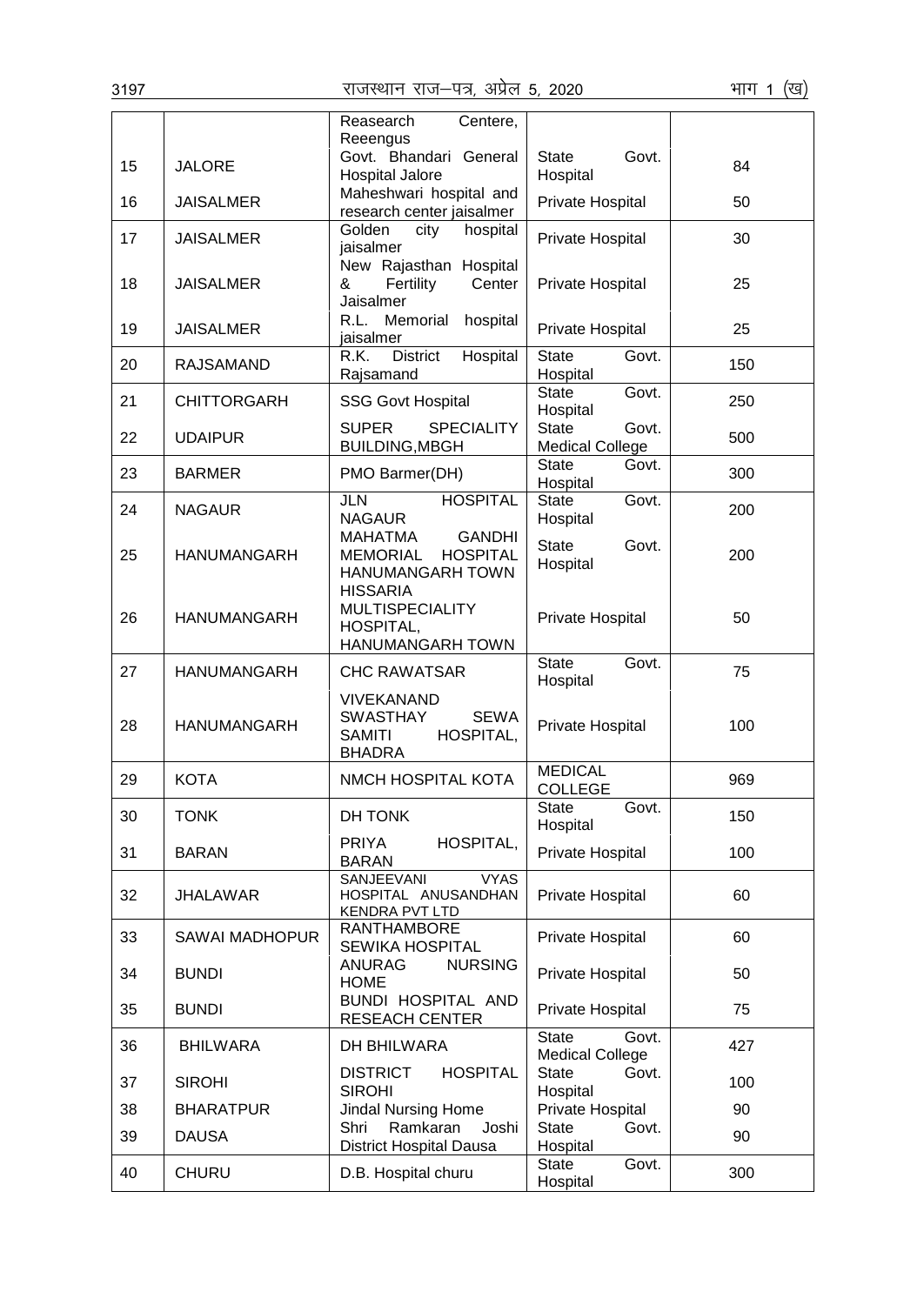| 3197 |                       | राजस्थान राज—पत्र, अप्रेल 5, 2020                                                                  |                                                 | भाग 1<br>(ख) |
|------|-----------------------|----------------------------------------------------------------------------------------------------|-------------------------------------------------|--------------|
|      |                       | Reasearch<br>Centere,<br>Reeengus                                                                  |                                                 |              |
| 15   | <b>JALORE</b>         | Govt. Bhandari General<br><b>Hospital Jalore</b>                                                   | <b>State</b><br>Govt.<br>Hospital               | 84           |
| 16   | <b>JAISALMER</b>      | Maheshwari hospital and<br>research center jaisalmer                                               | Private Hospital                                | 50           |
| 17   | <b>JAISALMER</b>      | Golden<br>hospital<br>city<br>jaisalmer                                                            | Private Hospital                                | 30           |
| 18   | <b>JAISALMER</b>      | New Rajasthan Hospital<br>&<br>Fertility<br>Center<br>Jaisalmer                                    | Private Hospital                                | 25           |
| 19   | <b>JAISALMER</b>      | Memorial<br>hospital<br>R.L.<br>jaisalmer                                                          | Private Hospital                                | 25           |
| 20   | <b>RAJSAMAND</b>      | Hospital<br>R.K.<br><b>District</b><br>Rajsamand                                                   | <b>State</b><br>Govt.<br>Hospital               | 150          |
| 21   | <b>CHITTORGARH</b>    | <b>SSG Govt Hospital</b>                                                                           | <b>State</b><br>Govt.<br>Hospital               | 250          |
| 22   | <b>UDAIPUR</b>        | <b>SUPER</b><br><b>SPECIALITY</b><br><b>BUILDING, MBGH</b>                                         | <b>State</b><br>Govt.<br><b>Medical College</b> | 500          |
| 23   | <b>BARMER</b>         | PMO Barmer(DH)                                                                                     | <b>State</b><br>Govt.<br>Hospital               | 300          |
| 24   | <b>NAGAUR</b>         | JLN<br><b>HOSPITAL</b><br><b>NAGAUR</b>                                                            | <b>State</b><br>Govt.<br>Hospital               | 200          |
| 25   | <b>HANUMANGARH</b>    | <b>GANDHI</b><br><b>MAHATMA</b><br><b>MEMORIAL</b><br><b>HOSPITAL</b><br>HANUMANGARH TOWN          | <b>State</b><br>Govt.<br>Hospital               | 200          |
| 26   | <b>HANUMANGARH</b>    | <b>HISSARIA</b><br><b>MULTISPECIALITY</b><br>HOSPITAL,<br>HANUMANGARH TOWN                         | Private Hospital                                | 50           |
| 27   | <b>HANUMANGARH</b>    | <b>CHC RAWATSAR</b>                                                                                | <b>State</b><br>Govt.<br>Hospital               | 75           |
| 28   | <b>HANUMANGARH</b>    | <b>VIVEKANAND</b><br><b>SWASTHAY</b><br><b>SEWA</b><br>HOSPITAL,<br><b>SAMITI</b><br><b>BHADRA</b> | Private Hospital                                | 100          |
| 29   | <b>KOTA</b>           | NMCH HOSPITAL KOTA                                                                                 | <b>MEDICAL</b><br><b>COLLEGE</b>                | 969          |
| 30   | <b>TONK</b>           | DH TONK                                                                                            | <b>State</b><br>Govt.<br>Hospital               | 150          |
| 31   | <b>BARAN</b>          | HOSPITAL,<br><b>PRIYA</b><br><b>BARAN</b>                                                          | Private Hospital                                | 100          |
| 32   | <b>JHALAWAR</b>       | SANJEEVANI<br><b>VYAS</b><br>HOSPITAL ANUSANDHAN<br><b>KENDRA PVT LTD</b>                          | Private Hospital                                | 60           |
| 33   | <b>SAWAI MADHOPUR</b> | <b>RANTHAMBORE</b><br>SEWIKA HOSPITAL                                                              | Private Hospital                                | 60           |
| 34   | <b>BUNDI</b>          | <b>NURSING</b><br><b>ANURAG</b><br><b>HOME</b>                                                     | Private Hospital                                | 50           |
| 35   | <b>BUNDI</b>          | <b>BUNDI HOSPITAL AND</b><br><b>RESEACH CENTER</b>                                                 | Private Hospital                                | 75           |
| 36   | <b>BHILWARA</b>       | DH BHILWARA                                                                                        | <b>State</b><br>Govt.<br><b>Medical College</b> | 427          |
| 37   | <b>SIROHI</b>         | <b>DISTRICT</b><br><b>HOSPITAL</b><br><b>SIROHI</b>                                                | <b>State</b><br>Govt.<br>Hospital               | 100          |
| 38   | <b>BHARATPUR</b>      | <b>Jindal Nursing Home</b>                                                                         | Private Hospital                                | 90           |
| 39   | <b>DAUSA</b>          | Ramkaran<br>Shri<br>Joshi<br><b>District Hospital Dausa</b>                                        | <b>State</b><br>Govt.<br>Hospital               | 90           |
| 40   | <b>CHURU</b>          | D.B. Hospital churu                                                                                | <b>State</b><br>Govt.<br>Hospital               | 300          |